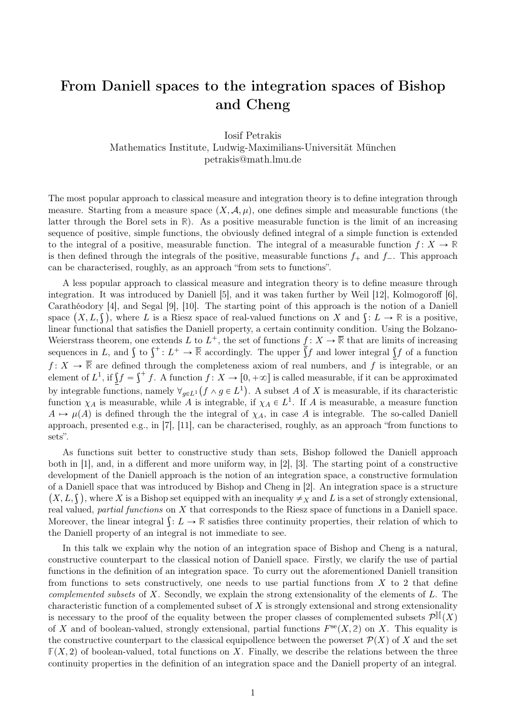## From Daniell spaces to the integration spaces of Bishop and Cheng

Iosif Petrakis Mathematics Institute, Ludwig-Maximilians-Universität München petrakis@math.lmu.de

The most popular approach to classical measure and integration theory is to define integration through measure. Starting from a measure space  $(X, \mathcal{A}, \mu)$ , one defines simple and measurable functions (the latter through the Borel sets in **R**). As a positive measurable function is the limit of an increasing sequence of positive, simple functions, the obviously defined integral of a simple function is extended to the integral of a positive, measurable function. The integral of a measurable function  $f: X \to \mathbb{R}$ is then defined through the integrals of the positive, measurable functions  $f_+$  and  $f_-$ . This approach can be characterised, roughly, as an approach "from sets to functions".

A less popular approach to classical measure and integration theory is to define measure through integration. It was introduced by Daniell [5], and it was taken further by Weil [12], Kolmogoroff [6], Carathéodory [4], and Segal [9], [10]. The starting point of this approach is the notion of a Daniell Carathéodory [4], and Segal [9], [10]. The starting point of this approach is the notion of a Daniell<br>space  $(X, L, \mathcal{S})$ , where L is a Riesz space of real-valued functions on X and  $\mathcal{S}: L \to \mathbb{R}$  is a positive, linear functional that satisfies the Daniell property, a certain continuity condition. Using the Bolzano-Weierstrass theorem, one extends L to  $L^+$ , the set of functions  $f: X \to \overline{\mathbb{R}}$  that are limits of increasing Weierstrass theorem, one extends L to  $L^{\dagger}$ , the set of functions  $f: X \to \mathbb{R}$  that are limits of increasing sequences in L, and  $\int$  to  $\int^{\dagger}: L^{\dagger} \to \overline{\mathbb{R}}$  accordingly. The upper  $\int f$  and lower integral  $\int f$  $f: X \to \mathbb{R}$  are defined through the completeness axiom of real numbers, and f is integrable, or an<br>selector of  $I^1$  if  $f = f^+ f$ , A function  $f: X \to [0, +\infty]$  is called measurable, if it can be approximated  $f: X \to \mathbb{R}$  are defined through the completeness axiom of real numbers, and f is integrable, or an element of  $L^1$ , if  $\iint f = \int^+ f$ . A function  $f: X \to [0, +\infty]$  is called measurable, if it can be approximated by integrable functions, namely  $\forall_{g\in L^1}(f\wedge g\in L^1)$ . A subset A of X is measurable, if its characteristic function  $\chi_A$  is measurable, while A is integrable, if  $\chi_A \in L^1$ . If A is measurable, a measure function  $A \mapsto \mu(A)$  is defined through the the integral of  $\chi_A$ , in case A is integrable. The so-called Daniell approach, presented e.g., in [7], [11], can be characterised, roughly, as an approach "from functions to sets".

As functions suit better to constructive study than sets, Bishop followed the Daniell approach both in [1], and, in a different and more uniform way, in [2], [3]. The starting point of a constructive development of the Daniell approach is the notion of an integration space, a constructive formulation of a Daniell space that was introduced by Bishop and Cheng in [2]. An integration space is a structure ` f a Daniell space that was introduced by Bishop and Cheng in [2]. An integration space is a structure  $X, L, \hat{\mathbf{y}}$ , where X is a Bishop set equipped with an inequality  $\neq_X$  and  $L$  is a set of strongly extensional, real valued, partial functions on X that corresponds to the Riesz space of functions in a Daniell space. real valued, *partial functions* on X that corresponds to the Riesz space of functions in a Daniell space.<br>Moreover, the linear integral  $\int: L \to \mathbb{R}$  satisfies three continuity properties, their relation of which to the Daniell property of an integral is not immediate to see.

In this talk we explain why the notion of an integration space of Bishop and Cheng is a natural, constructive counterpart to the classical notion of Daniell space. Firstly, we clarify the use of partial functions in the definition of an integration space. To curry out the aforementioned Daniell transition from functions to sets constructively, one needs to use partial functions from  $X$  to 2 that define complemented subsets of  $X$ . Secondly, we explain the strong extensionality of the elements of  $L$ . The characteristic function of a complemented subset of  $X$  is strongly extensional and strong extensionality is necessary to the proof of the equality between the proper classes of complemented subsets  $\mathcal{P}^{\mathbb{II}}(X)$ of X and of boolean-valued, strongly extensional, partial functions  $F^{se}(X, 2)$  on X. This equality is the constructive counterpart to the classical equipollence between the powerset  $\mathcal{P}(X)$  of X and the set  $F(X, 2)$  of boolean-valued, total functions on X. Finally, we describe the relations between the three continuity properties in the definition of an integration space and the Daniell property of an integral.